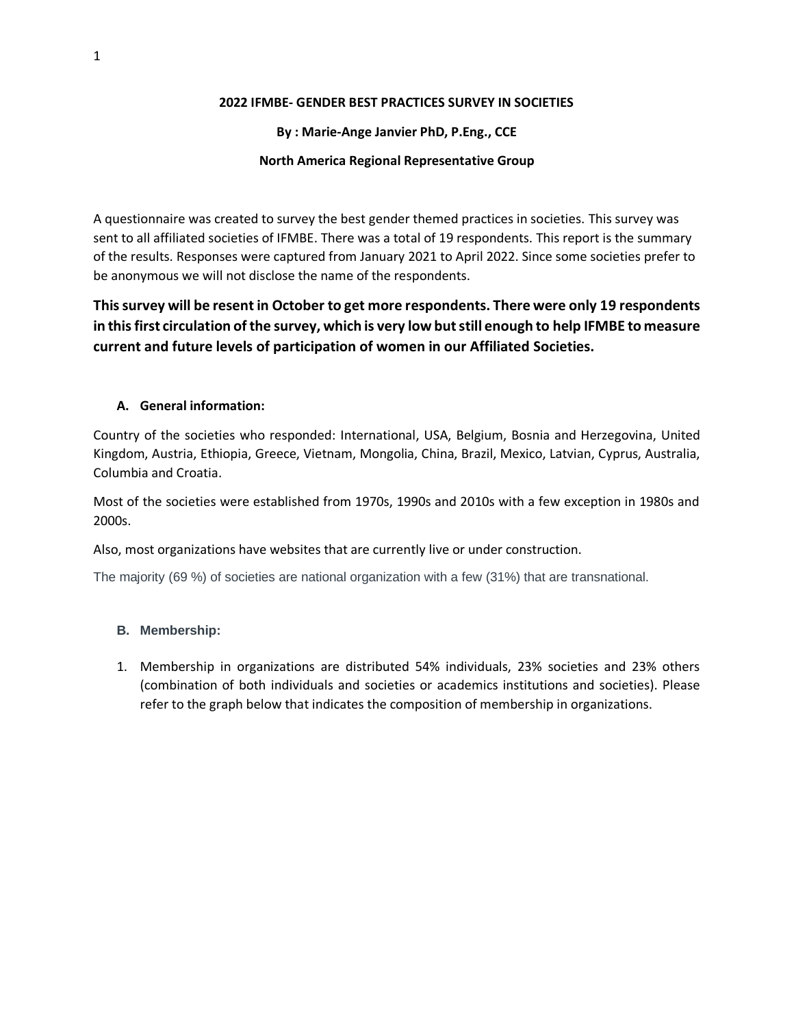#### **2022 IFMBE- GENDER BEST PRACTICES SURVEY IN SOCIETIES**

## **By : Marie-Ange Janvier PhD, P.Eng., CCE**

## **North America Regional Representative Group**

A questionnaire was created to survey the best gender themed practices in societies. This survey was sent to all affiliated societies of IFMBE. There was a total of 19 respondents. This report is the summary of the results. Responses were captured from January 2021 to April 2022. Since some societies prefer to be anonymous we will not disclose the name of the respondents.

# **This survey will be resent in October to get more respondents. There were only 19 respondents in this first circulation of the survey, which is very low but still enough to help IFMBE to measure current and future levels of participation of women in our Affiliated Societies.**

## **A. General information:**

Country of the societies who responded: International, USA, Belgium, Bosnia and Herzegovina, United Kingdom, Austria, Ethiopia, Greece, Vietnam, Mongolia, China, Brazil, Mexico, Latvian, Cyprus, Australia, Columbia and Croatia.

Most of the societies were established from 1970s, 1990s and 2010s with a few exception in 1980s and 2000s.

Also, most organizations have websites that are currently live or under construction.

The majority (69 %) of societies are national organization with a few (31%) that are transnational.

#### **B. Membership:**

1. Membership in organizations are distributed 54% individuals, 23% societies and 23% others (combination of both individuals and societies or academics institutions and societies). Please refer to the graph below that indicates the composition of membership in organizations.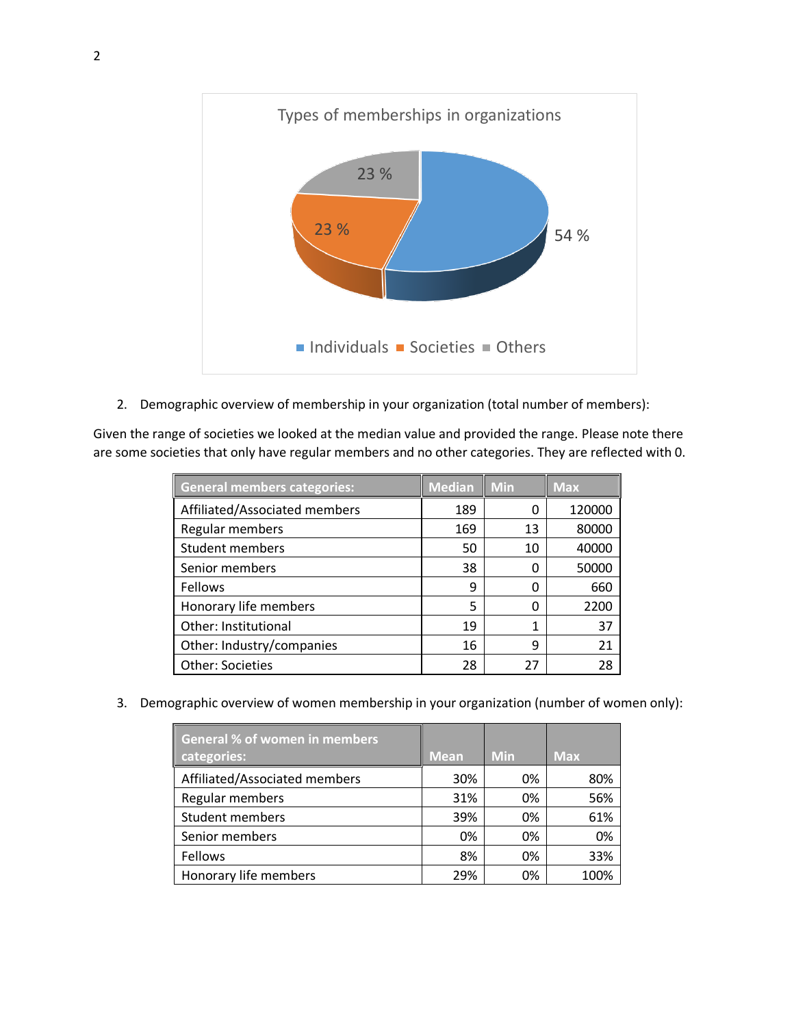

2. Demographic overview of membership in your organization (total number of members):

Given the range of societies we looked at the median value and provided the range. Please note there are some societies that only have regular members and no other categories. They are reflected with 0.

| <b>General members categories:</b> | <b>Median</b> | <b>Min</b> | <b>Max</b> |
|------------------------------------|---------------|------------|------------|
| Affiliated/Associated members      | 189           | 0          | 120000     |
| Regular members                    | 169           | 13         | 80000      |
| <b>Student members</b>             | 50            | 10         | 40000      |
| Senior members                     | 38            | 0          | 50000      |
| Fellows                            | 9             | 0          | 660        |
| Honorary life members              | 5             | 0          | 2200       |
| Other: Institutional               | 19            | 1          | 37         |
| Other: Industry/companies          | 16            | 9          | 21         |
| <b>Other: Societies</b>            | 28            | 27         | 28         |

3. Demographic overview of women membership in your organization (number of women only):

| <b>General % of women in members</b><br>categories: | <b>Mean</b> | <b>Min</b> | Max  |
|-----------------------------------------------------|-------------|------------|------|
| Affiliated/Associated members                       | 30%         | 0%         | 80%  |
| Regular members                                     | 31%         | 0%         | 56%  |
| <b>Student members</b>                              | 39%         | 0%         | 61%  |
| Senior members                                      | 0%          | 0%         | 0%   |
| Fellows                                             | 8%          | 0%         | 33%  |
| Honorary life members                               | 29%         | 0%         | 100% |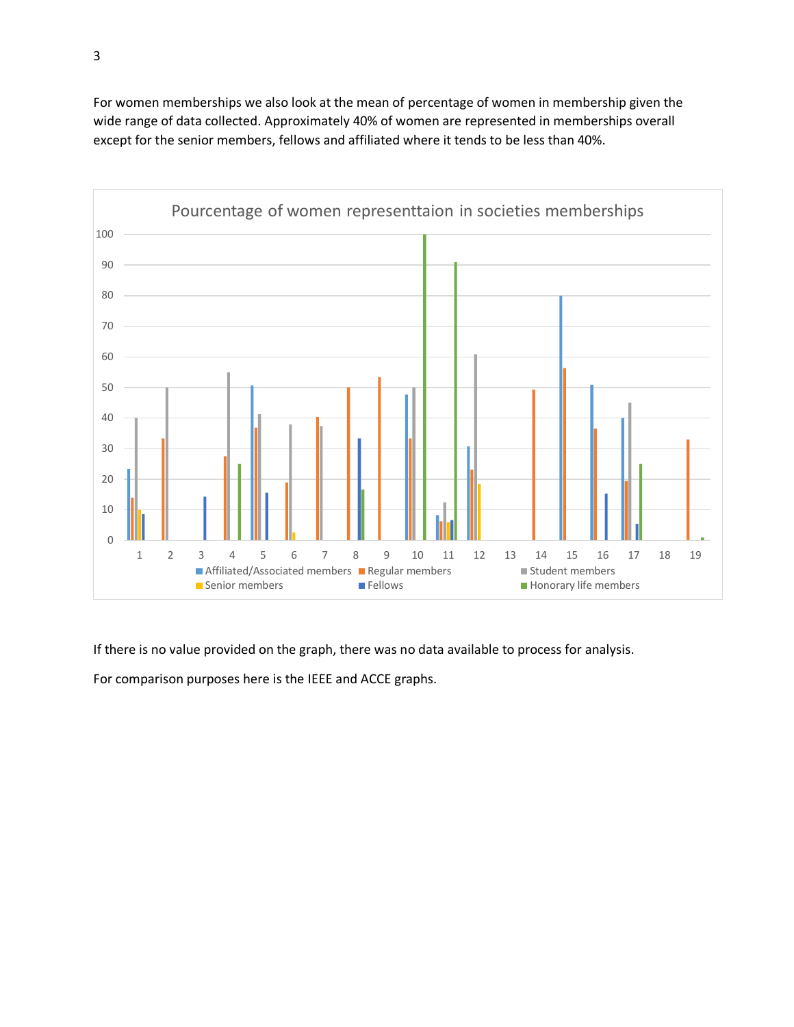For women memberships we also look at the mean of percentage of women in membership given the wide range of data collected. Approximately 40% of women are represented in memberships overall except for the senior members, fellows and affiliated where it tends to be less than 40%.



If there is no value provided on the graph, there was no data available to process for analysis.

For comparison purposes here is the IEEE and ACCE graphs.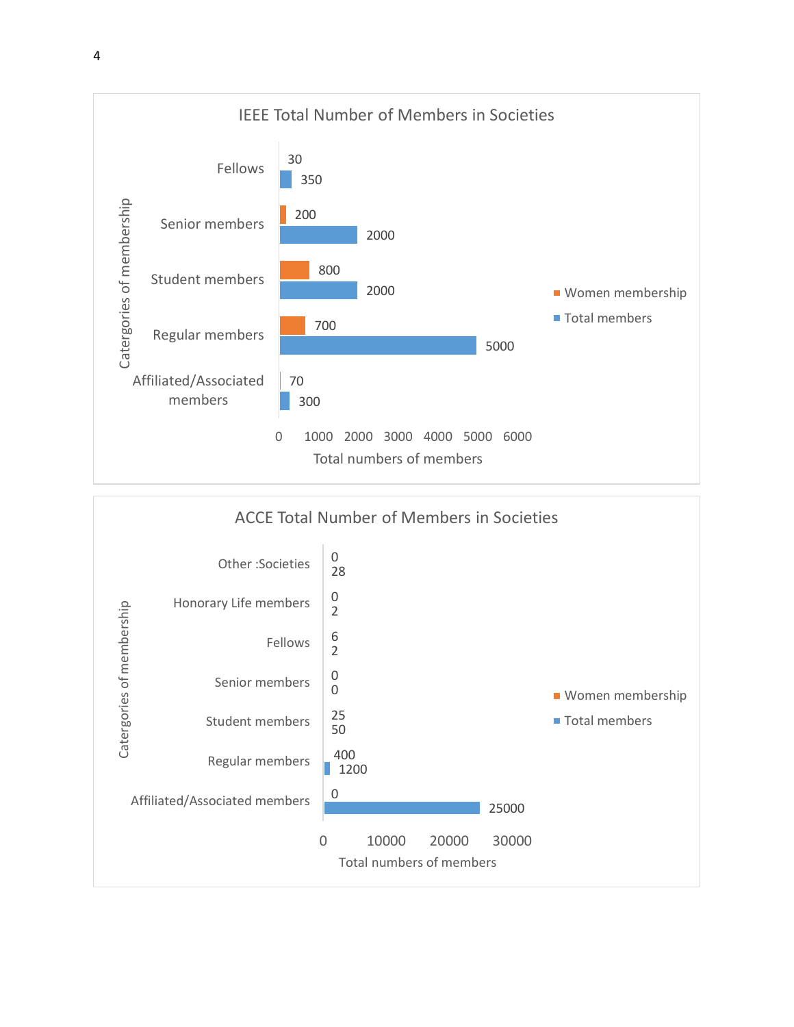

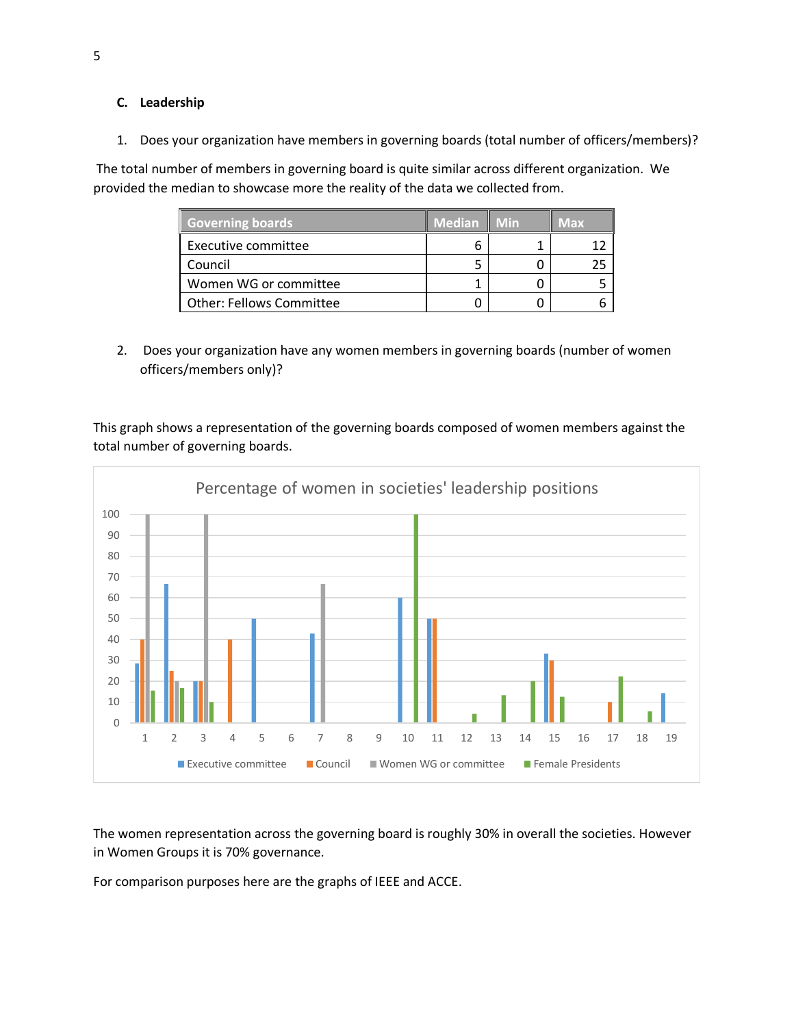## **C. Leadership**

1. Does your organization have members in governing boards (total number of officers/members)?

The total number of members in governing board is quite similar across different organization. We provided the median to showcase more the reality of the data we collected from.

| Governing boards                | <b>Median</b> | Min | Max |
|---------------------------------|---------------|-----|-----|
| Executive committee             |               |     |     |
| Council                         |               |     | 25  |
| Women WG or committee           |               |     |     |
| <b>Other: Fellows Committee</b> |               |     |     |

2. Does your organization have any women members in governing boards (number of women officers/members only)?

This graph shows a representation of the governing boards composed of women members against the total number of governing boards.



The women representation across the governing board is roughly 30% in overall the societies. However in Women Groups it is 70% governance.

For comparison purposes here are the graphs of IEEE and ACCE.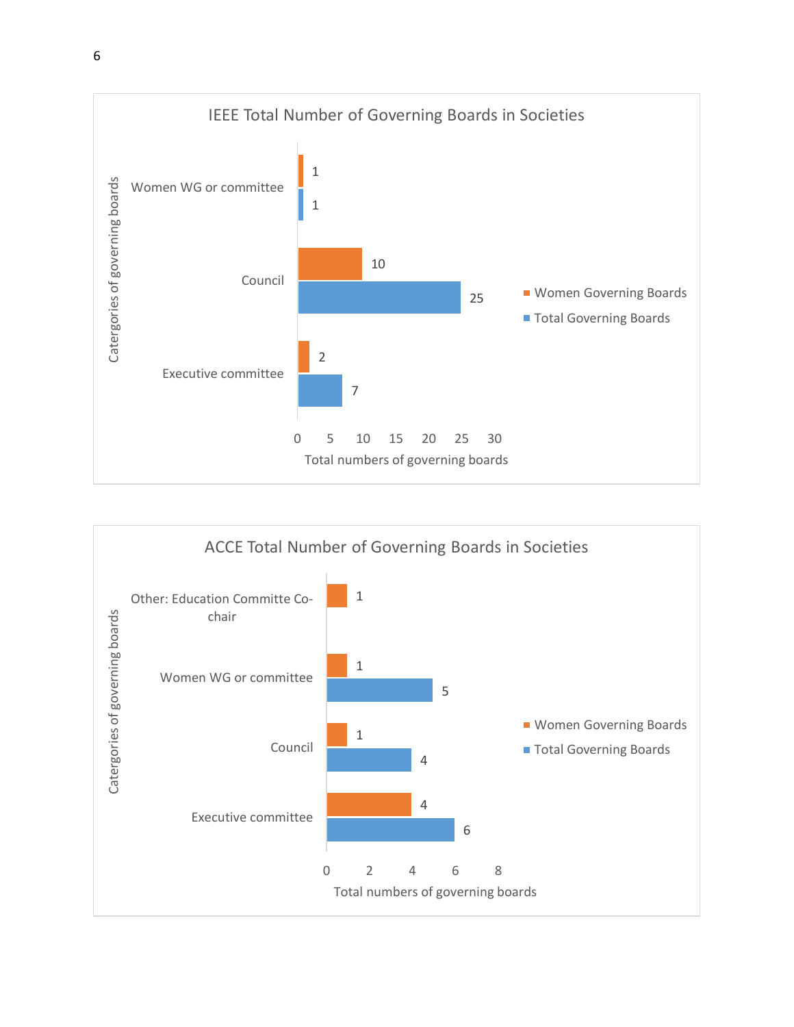

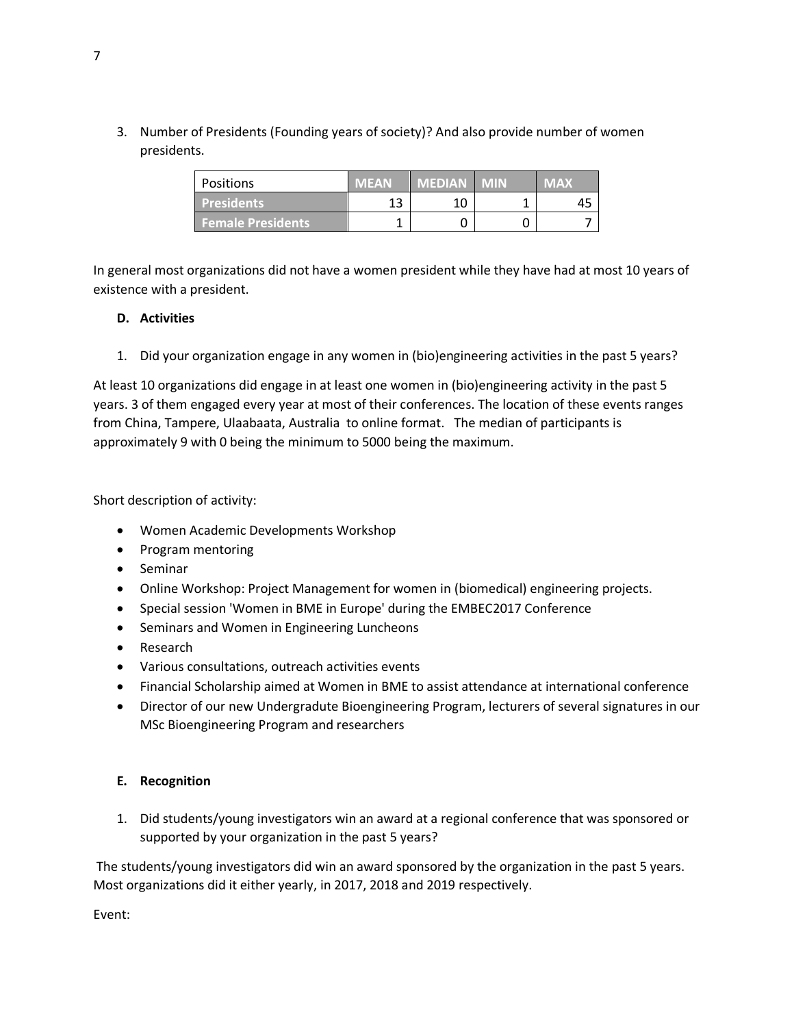3. Number of Presidents (Founding years of society)? And also provide number of women presidents.

| Positions                | MEAN | <b>MEDIAN MIN</b> | <b>IMAX</b> |
|--------------------------|------|-------------------|-------------|
| <b>Presidents</b>        | 13   | 10                |             |
| <b>Female Presidents</b> |      |                   |             |

In general most organizations did not have a women president while they have had at most 10 years of existence with a president.

## **D. Activities**

1. Did your organization engage in any women in (bio)engineering activities in the past 5 years?

At least 10 organizations did engage in at least one women in (bio)engineering activity in the past 5 years. 3 of them engaged every year at most of their conferences. The location of these events ranges from China, Tampere, Ulaabaata, Australia to online format. The median of participants is approximately 9 with 0 being the minimum to 5000 being the maximum.

Short description of activity:

- Women Academic Developments Workshop
- Program mentoring
- Seminar
- Online Workshop: Project Management for women in (biomedical) engineering projects.
- Special session 'Women in BME in Europe' during the EMBEC2017 Conference
- Seminars and Women in Engineering Luncheons
- Research
- Various consultations, outreach activities events
- Financial Scholarship aimed at Women in BME to assist attendance at international conference
- Director of our new Undergradute Bioengineering Program, lecturers of several signatures in our MSc Bioengineering Program and researchers

#### **E. Recognition**

1. Did students/young investigators win an award at a regional conference that was sponsored or supported by your organization in the past 5 years?

The students/young investigators did win an award sponsored by the organization in the past 5 years. Most organizations did it either yearly, in 2017, 2018 and 2019 respectively.

Event: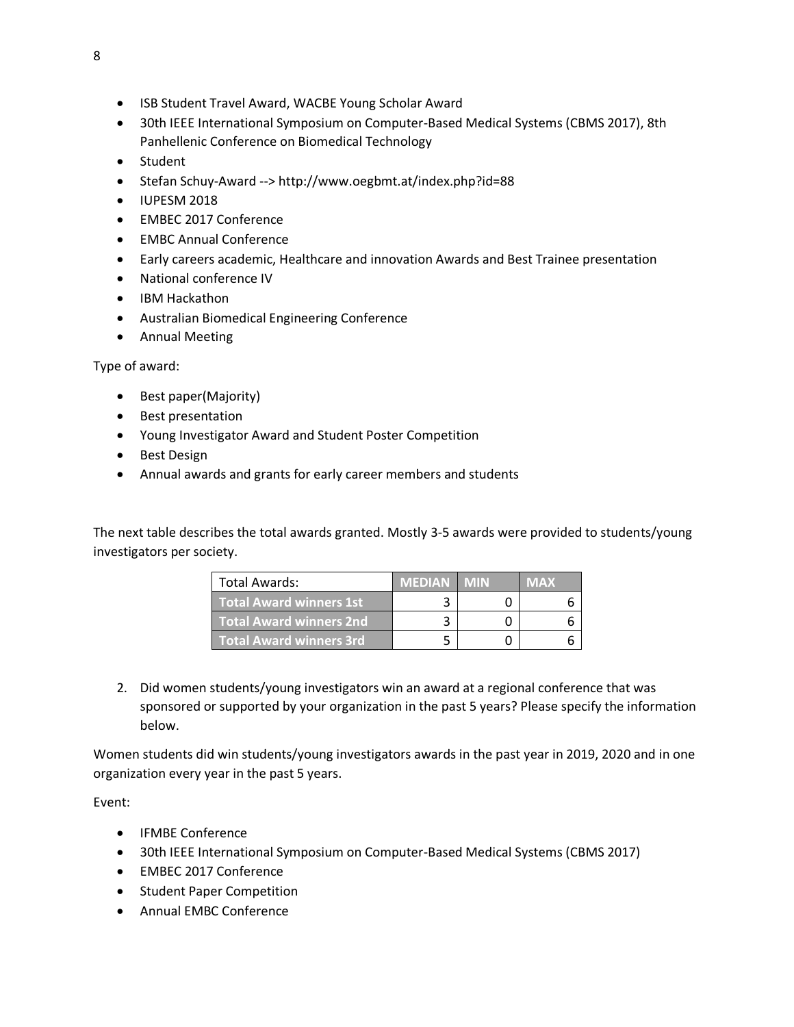- ISB Student Travel Award, WACBE Young Scholar Award
- 30th IEEE International Symposium on Computer-Based Medical Systems (CBMS 2017), 8th Panhellenic Conference on Biomedical Technology
- Student
- Stefan Schuy-Award --><http://www.oegbmt.at/index.php?id=88>
- IUPESM 2018
- EMBEC 2017 Conference
- EMBC Annual Conference
- Early careers academic, Healthcare and innovation Awards and Best Trainee presentation
- National conference IV
- IBM Hackathon
- Australian Biomedical Engineering Conference
- Annual Meeting

Type of award:

- Best paper(Majority)
- Best presentation
- Young Investigator Award and Student Poster Competition
- Best Design
- Annual awards and grants for early career members and students

The next table describes the total awards granted. Mostly 3-5 awards were provided to students/young investigators per society.

| Total Awards:           | <b>MEDIAN</b> | MAX |
|-------------------------|---------------|-----|
| Total Award winners 1st |               |     |
| Total Award winners 2nd |               |     |
| Total Award winners 3rd |               |     |

2. Did women students/young investigators win an award at a regional conference that was sponsored or supported by your organization in the past 5 years? Please specify the information below.

Women students did win students/young investigators awards in the past year in 2019, 2020 and in one organization every year in the past 5 years.

Event:

- IFMBE Conference
- 30th IEEE International Symposium on Computer-Based Medical Systems (CBMS 2017)
- EMBEC 2017 Conference
- Student Paper Competition
- Annual EMBC Conference